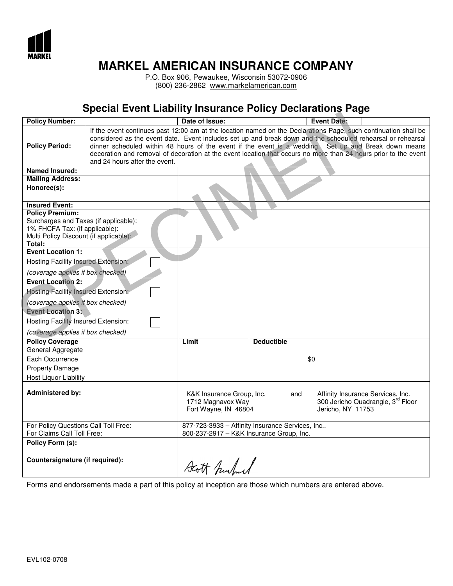

P.O. Box 906, Pewaukee, Wisconsin 53072-0906 (800) 236-2862 www.markelamerican.com

## Special Event Liability Insurance Policy Declarations Page

| <b>Policy Number:</b>                                                                                                                                                          |                               | Date of Issue:                                                         |                   | <b>Event Date:</b>                                                                                                                                                                                                                                                                                                                                                                                                                                        |
|--------------------------------------------------------------------------------------------------------------------------------------------------------------------------------|-------------------------------|------------------------------------------------------------------------|-------------------|-----------------------------------------------------------------------------------------------------------------------------------------------------------------------------------------------------------------------------------------------------------------------------------------------------------------------------------------------------------------------------------------------------------------------------------------------------------|
| <b>Policy Period:</b>                                                                                                                                                          | and 24 hours after the event. |                                                                        |                   | If the event continues past 12:00 am at the location named on the Declarations Page, such continuation shall be<br>considered as the event date. Event includes set up and break down and the scheduled rehearsal or rehearsal<br>dinner scheduled within 48 hours of the event if the event is a wedding. Set up and Break down means<br>decoration and removal of decoration at the event location that occurs no more than 24 hours prior to the event |
| <b>Named Insured:</b>                                                                                                                                                          |                               |                                                                        |                   |                                                                                                                                                                                                                                                                                                                                                                                                                                                           |
| <b>Mailing Address:</b>                                                                                                                                                        |                               |                                                                        |                   |                                                                                                                                                                                                                                                                                                                                                                                                                                                           |
| Honoree(s):                                                                                                                                                                    |                               |                                                                        |                   |                                                                                                                                                                                                                                                                                                                                                                                                                                                           |
| <b>Insured Event:</b><br><b>Policy Premium:</b><br>Surcharges and Taxes (if applicable):<br>1% FHCFA Tax: (if applicable):<br>Multi Policy Discount (if applicable):<br>Total: |                               |                                                                        |                   |                                                                                                                                                                                                                                                                                                                                                                                                                                                           |
| <b>Event Location 1:</b><br>Hosting Facility Insured Extension:                                                                                                                |                               |                                                                        |                   |                                                                                                                                                                                                                                                                                                                                                                                                                                                           |
| (coverage applies if box checked)                                                                                                                                              |                               |                                                                        |                   |                                                                                                                                                                                                                                                                                                                                                                                                                                                           |
| <b>Event Location 2:</b>                                                                                                                                                       |                               |                                                                        |                   |                                                                                                                                                                                                                                                                                                                                                                                                                                                           |
| Hosting Facility Insured Extension:                                                                                                                                            |                               |                                                                        |                   |                                                                                                                                                                                                                                                                                                                                                                                                                                                           |
|                                                                                                                                                                                |                               |                                                                        |                   |                                                                                                                                                                                                                                                                                                                                                                                                                                                           |
| (coverage applies if box checked)                                                                                                                                              |                               |                                                                        |                   |                                                                                                                                                                                                                                                                                                                                                                                                                                                           |
| <b>Event Location 3:</b>                                                                                                                                                       |                               |                                                                        |                   |                                                                                                                                                                                                                                                                                                                                                                                                                                                           |
| Hosting Facility Insured Extension:                                                                                                                                            |                               |                                                                        |                   |                                                                                                                                                                                                                                                                                                                                                                                                                                                           |
| (coverage applies if box checked)                                                                                                                                              |                               |                                                                        |                   |                                                                                                                                                                                                                                                                                                                                                                                                                                                           |
| <b>Policy Coverage</b>                                                                                                                                                         |                               | Limit                                                                  | <b>Deductible</b> |                                                                                                                                                                                                                                                                                                                                                                                                                                                           |
| General Aggregate                                                                                                                                                              |                               |                                                                        |                   |                                                                                                                                                                                                                                                                                                                                                                                                                                                           |
|                                                                                                                                                                                | Each Occurrence               |                                                                        |                   | \$0                                                                                                                                                                                                                                                                                                                                                                                                                                                       |
| <b>Property Damage</b>                                                                                                                                                         |                               |                                                                        |                   |                                                                                                                                                                                                                                                                                                                                                                                                                                                           |
| Host Liquor Liability                                                                                                                                                          |                               |                                                                        |                   |                                                                                                                                                                                                                                                                                                                                                                                                                                                           |
| <b>Administered by:</b>                                                                                                                                                        |                               | K&K Insurance Group, Inc.<br>1712 Magnavox Way<br>Fort Wayne, IN 46804 | and               | Affinity Insurance Services, Inc.<br>300 Jericho Quadrangle, 3rd Floor<br>Jericho, NY 11753                                                                                                                                                                                                                                                                                                                                                               |
| For Policy Questions Call Toll Free:                                                                                                                                           |                               | 877-723-3933 - Affinity Insurance Services, Inc                        |                   |                                                                                                                                                                                                                                                                                                                                                                                                                                                           |
| For Claims Call Toll Free:                                                                                                                                                     |                               | 800-237-2917 - K&K Insurance Group, Inc.                               |                   |                                                                                                                                                                                                                                                                                                                                                                                                                                                           |
| Policy Form (s):                                                                                                                                                               |                               |                                                                        |                   |                                                                                                                                                                                                                                                                                                                                                                                                                                                           |
| Countersignature (if required):                                                                                                                                                |                               | Statt Purlow                                                           |                   |                                                                                                                                                                                                                                                                                                                                                                                                                                                           |

Forms and endorsements made a part of this policy at inception are those which numbers are entered above.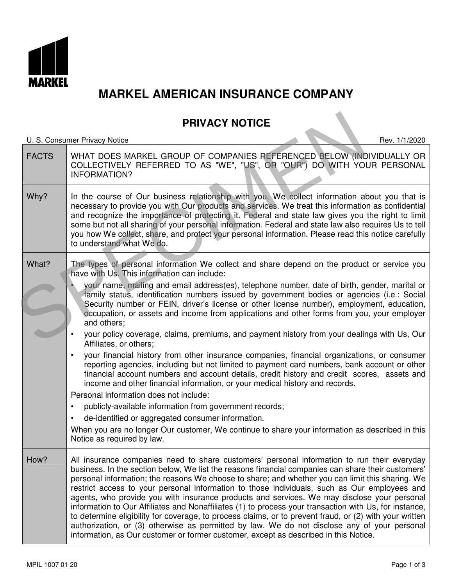

## PRIVACY NOTICE

U. S. Consumer Privacy Notice Rev. 1/1/2020 FACTS WHAT DOES MARKEL GROUP OF COMPANIES REFERENCED BELOW (INDIVIDUALLY OR COLLECTIVELY REFERRED TO AS "WE", "US", OR "OUR") DO WITH YOUR PERSONAL INFORMATION? Why? In the course of Our business relationship with you, We collect information about you that is necessary to provide you with Our products and services. We treat this information as confidential and recognize the importance of protecting it. Federal and state law gives you the right to limit some but not all sharing of your personal information. Federal and state law also requires Us to tell you how We collect, share, and protect your personal information. Please read this notice carefully to understand what We do. What? The types of personal information We collect and share depend on the product or service you have with Us. This information can include: • your name, mailing and email address(es), telephone number, date of birth, gender, marital or family status, identification numbers issued by government bodies or agencies (i.e.: Social Security number or FEIN, driver's license or other license number), employment, education, occupation, or assets and income from applications and other forms from you, your employer and others; • your policy coverage, claims, premiums, and payment history from your dealings with Us, Our Affiliates, or others; • your financial history from other insurance companies, financial organizations, or consumer reporting agencies, including but not limited to payment card numbers, bank account or other financial account numbers and account details, credit history and credit scores, assets and income and other financial information, or your medical history and records. Personal information does not include: publicly-available information from government records; • de-identified or aggregated consumer information. When you are no longer Our customer, We continue to share your information as described in this Notice as required by law. How? All insurance companies need to share customers' personal information to run their everyday business. In the section below, We list the reasons financial companies can share their customers' personal information; the reasons We choose to share; and whether you can limit this sharing. We restrict access to your personal information to those individuals, such as Our employees and agents, who provide you with insurance products and services. We may disclose your personal information to Our Affiliates and Nonaffiliates (1) to process your transaction with Us, for instance, to determine eligibility for coverage, to process claims, or to prevent fraud, or (2) with your written authorization, or (3) otherwise as permitted by law. We do not disclose any of your personal information, as Our customer or former customer, except as described in this Notice. U.S. Consumer Privacy Notice<br>
FACTS<br>
WHAT DOES MARKEL GROUP OF COMPANIES REFERENCED BELOW (INCOLLECTIVELY REFERRED TO AS "WE", "US", OR "OUR") DO WITH YOU<br>
INFORMATION?<br>
In the course of Our business relationship with you.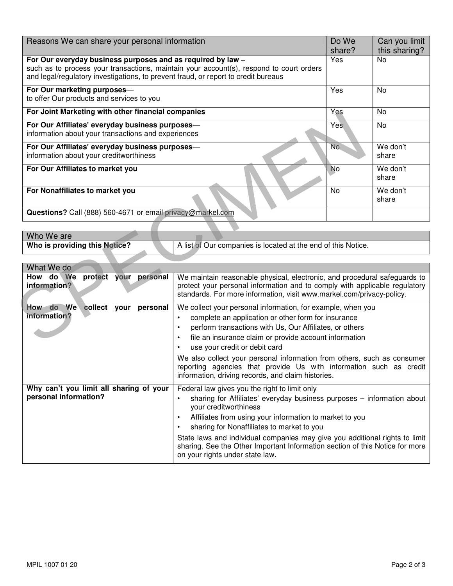| Reasons We can share your personal information                                                                                                                                                                                                                                                                                       |                                                                                                                                                                                                                                  | Do We<br>share? | Can you limit<br>this sharing? |
|--------------------------------------------------------------------------------------------------------------------------------------------------------------------------------------------------------------------------------------------------------------------------------------------------------------------------------------|----------------------------------------------------------------------------------------------------------------------------------------------------------------------------------------------------------------------------------|-----------------|--------------------------------|
| For Our everyday business purposes and as required by law -<br>such as to process your transactions, maintain your account(s), respond to court orders<br>and legal/regulatory investigations, to prevent fraud, or report to credit bureaus                                                                                         |                                                                                                                                                                                                                                  | Yes             | N <sub>0</sub>                 |
| For Our marketing purposes-<br>to offer Our products and services to you                                                                                                                                                                                                                                                             |                                                                                                                                                                                                                                  | Yes             | <b>No</b>                      |
| For Joint Marketing with other financial companies                                                                                                                                                                                                                                                                                   |                                                                                                                                                                                                                                  | Yes             | <b>No</b>                      |
| For Our Affiliates' everyday business purposes-<br>information about your transactions and experiences                                                                                                                                                                                                                               |                                                                                                                                                                                                                                  | Yes             | <b>No</b>                      |
| For Our Affiliates' everyday business purposes-<br>information about your creditworthiness                                                                                                                                                                                                                                           |                                                                                                                                                                                                                                  | No.             | We don't<br>share              |
| For Our Affiliates to market you                                                                                                                                                                                                                                                                                                     |                                                                                                                                                                                                                                  | <b>No</b>       | We don't<br>share              |
| For Nonaffiliates to market you                                                                                                                                                                                                                                                                                                      |                                                                                                                                                                                                                                  | No              | We don't<br>share              |
| Questions? Call (888) 560-4671 or email privacy@markel.com                                                                                                                                                                                                                                                                           |                                                                                                                                                                                                                                  |                 |                                |
|                                                                                                                                                                                                                                                                                                                                      |                                                                                                                                                                                                                                  |                 |                                |
| Who We are<br>Who is providing this Notice?                                                                                                                                                                                                                                                                                          | A list of Our companies is located at the end of this Notice.                                                                                                                                                                    |                 |                                |
|                                                                                                                                                                                                                                                                                                                                      |                                                                                                                                                                                                                                  |                 |                                |
| What We do                                                                                                                                                                                                                                                                                                                           |                                                                                                                                                                                                                                  |                 |                                |
| How do We protect your personal<br>information?                                                                                                                                                                                                                                                                                      | We maintain reasonable physical, electronic, and procedural safeguards to<br>protect your personal information and to comply with applicable regulatory<br>standards. For more information, visit www.markel.com/privacy-policy. |                 |                                |
| How do We collect your<br>We collect your personal information, for example, when you<br>personal<br>information?<br>complete an application or other form for insurance<br>$\bullet$<br>perform transactions with Us, Our Affiliates, or others<br>$\bullet$<br>file an insurance claim or provide account information<br>$\bullet$ |                                                                                                                                                                                                                                  |                 |                                |

| Who We are                    |                                                               |
|-------------------------------|---------------------------------------------------------------|
| Who is providing this Notice? | A list of Our companies is located at the end of this Notice. |

| What We do                                                       |                                                                                                                                                                                                                                                                                                                                                                                                                                                                                                        |
|------------------------------------------------------------------|--------------------------------------------------------------------------------------------------------------------------------------------------------------------------------------------------------------------------------------------------------------------------------------------------------------------------------------------------------------------------------------------------------------------------------------------------------------------------------------------------------|
| protect your personal<br>How do We<br>information?               | We maintain reasonable physical, electronic, and procedural safeguards to<br>protect your personal information and to comply with applicable regulatory<br>standards. For more information, visit www.markel.com/privacy-policy.                                                                                                                                                                                                                                                                       |
| <b>How</b><br>do We<br>collect your<br>personal<br>information?  | We collect your personal information, for example, when you<br>complete an application or other form for insurance<br>$\bullet$<br>perform transactions with Us, Our Affiliates, or others<br>٠<br>file an insurance claim or provide account information<br>٠<br>use your credit or debit card<br>We also collect your personal information from others, such as consumer<br>reporting agencies that provide Us with information such as credit<br>information, driving records, and claim histories. |
| Why can't you limit all sharing of your<br>personal information? | Federal law gives you the right to limit only<br>sharing for Affiliates' everyday business purposes – information about<br>your creditworthiness<br>Affiliates from using your information to market to you<br>٠<br>sharing for Nonaffiliates to market to you<br>State laws and individual companies may give you additional rights to limit<br>sharing. See the Other Important Information section of this Notice for more<br>on your rights under state law.                                       |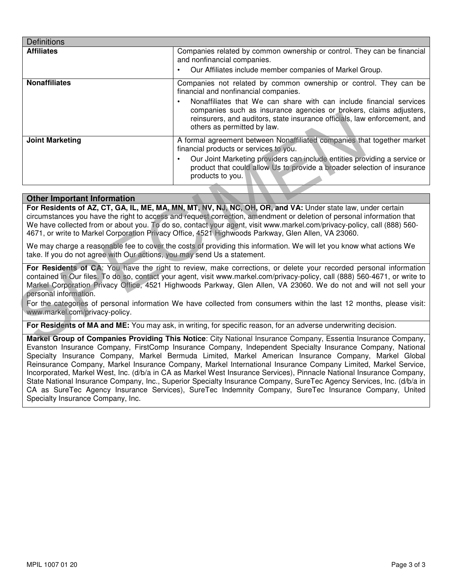| <b>Definitions</b>                 |                                                                                                                                                                                                                                                                                                                                                                                                                                                                                               |
|------------------------------------|-----------------------------------------------------------------------------------------------------------------------------------------------------------------------------------------------------------------------------------------------------------------------------------------------------------------------------------------------------------------------------------------------------------------------------------------------------------------------------------------------|
| <b>Affiliates</b>                  | Companies related by common ownership or control. They can be financial<br>and nonfinancial companies.                                                                                                                                                                                                                                                                                                                                                                                        |
|                                    | Our Affiliates include member companies of Markel Group.                                                                                                                                                                                                                                                                                                                                                                                                                                      |
| <b>Nonaffiliates</b>               | Companies not related by common ownership or control. They can be<br>financial and nonfinancial companies.                                                                                                                                                                                                                                                                                                                                                                                    |
|                                    | Nonaffiliates that We can share with can include financial services<br>$\bullet$<br>companies such as insurance agencies or brokers, claims adjusters,<br>reinsurers, and auditors, state insurance officials, law enforcement, and<br>others as permitted by law.                                                                                                                                                                                                                            |
| <b>Joint Marketing</b>             | A formal agreement between Nonaffiliated companies that together market<br>financial products or services to you.                                                                                                                                                                                                                                                                                                                                                                             |
|                                    | Our Joint Marketing providers can include entities providing a service or<br>$\bullet$<br>product that could allow Us to provide a broader selection of insurance<br>products to you.                                                                                                                                                                                                                                                                                                         |
|                                    |                                                                                                                                                                                                                                                                                                                                                                                                                                                                                               |
| <b>Other Important Information</b> |                                                                                                                                                                                                                                                                                                                                                                                                                                                                                               |
|                                    | For Residents of AZ, CT, GA, IL, ME, MA, MN, MT, NV, NJ, NC, OH, OR, and VA: Under state law, under certain<br>circumstances you have the right to access and request correction, amendment or deletion of personal information that<br>We have collected from or about you. To do so, contact your agent, visit www.markel.com/privacy-policy, call (888) 560-<br>4671, or write to Markel Corporation Privacy Office, 4521 Highwoods Parkway, Glen Allen, VA 23060.                         |
|                                    | We may charge a reasonable fee to cover the costs of providing this information. We will let you know what actions We<br>take. If you do not agree with Our actions, you may send Us a statement.                                                                                                                                                                                                                                                                                             |
| personal information.              | For Residents of CA: You have the right to review, make corrections, or delete your recorded personal information<br>contained in Our files. To do so, contact your agent, visit www.markel.com/privacy-policy, call (888) 560-4671, or write to<br>Markel Corporation Privacy Office, 4521 Highwoods Parkway, Glen Allen, VA 23060. We do not and will not sell your<br>For the categories of personal information We have collected from consumers within the last 12 months, please visit: |
| www.markel.com/privacy-policy.     |                                                                                                                                                                                                                                                                                                                                                                                                                                                                                               |
|                                    | For Residents of MA and ME: You may ask, in writing, for specific reason, for an adverse underwriting decision.                                                                                                                                                                                                                                                                                                                                                                               |
|                                    | Markel Group of Companies Providing This Notice: City National Insurance Company, Essentia Insurance Company,                                                                                                                                                                                                                                                                                                                                                                                 |

#### Other Important Information

Markel Group of Companies Providing This Notice: City National Insurance Company, Essentia Insurance Company, Evanston Insurance Company, FirstComp Insurance Company, Independent Specialty Insurance Company, National Specialty Insurance Company, Markel Bermuda Limited, Markel American Insurance Company, Markel Global Reinsurance Company, Markel Insurance Company, Markel International Insurance Company Limited, Markel Service, Incorporated, Markel West, Inc. (d/b/a in CA as Markel West Insurance Services), Pinnacle National Insurance Company, State National Insurance Company, Inc., Superior Specialty Insurance Company, SureTec Agency Services, Inc. (d/b/a in CA as SureTec Agency Insurance Services), SureTec Indemnity Company, SureTec Insurance Company, United Specialty Insurance Company, Inc.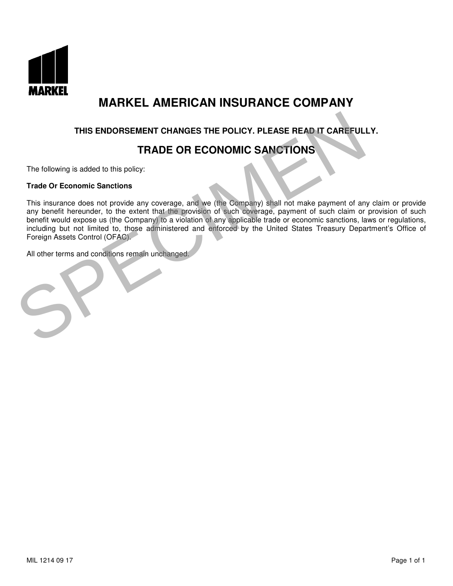

### THIS ENDORSEMENT CHANGES THE POLICY. PLEASE READ IT CAREFULLY.

## TRADE OR ECONOMIC SANCTIONS

The following is added to this policy:

#### Trade Or Economic Sanctions

This insurance does not provide any coverage, and we (the Company) shall not make payment of any claim or provide any benefit hereunder, to the extent that the provision of such coverage, payment of such claim or provision of such benefit would expose us (the Company) to a violation of any applicable trade or economic sanctions, laws or regulations, including but not limited to, those administered and enforced by the United States Treasury Department's Office of Foreign Assets Control (OFAC). THIS ENDORSEMENT CHANGES THE POLICY. PLEASE READ IT CAREFULL<br>
TRADE OR ECONOMIC SANCTIONS<br>
This insurance does not provide any coverage, and we (the Company) shall not make payment of an<br>
any benefit hereunder, to the exte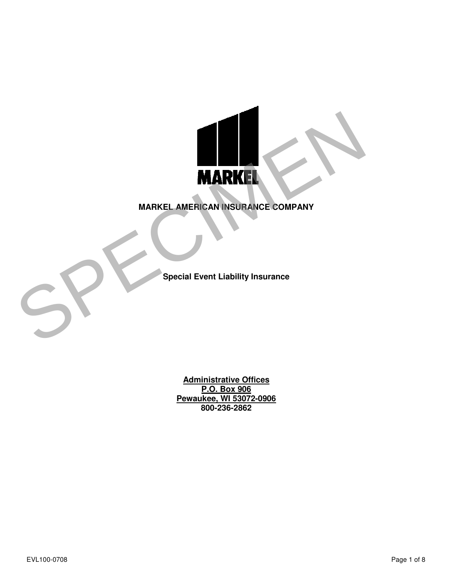

Special Event Liability Insurance

Administrative Offices **P.O. Box 906** Pewaukee, WI 53072-0906 800-236-2862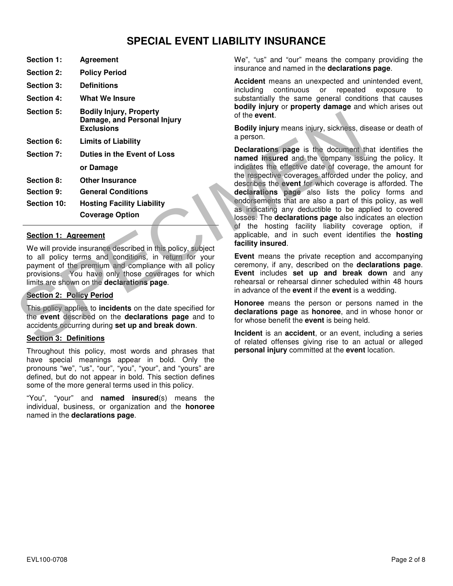## SPECIAL EVENT LIABILITY INSURANCE

| Section 1:        | Agreement                                                                          |
|-------------------|------------------------------------------------------------------------------------|
| <b>Section 2:</b> | <b>Policy Period</b>                                                               |
| <b>Section 3:</b> | <b>Definitions</b>                                                                 |
| Section 4:        | What We Insure                                                                     |
| <b>Section 5:</b> | <b>Bodily Injury, Property</b><br>Damage, and Personal Injury<br><b>Exclusions</b> |
| Section 6:        | <b>Limits of Liability</b>                                                         |
| Section 7:        | Duties in the Event of Loss                                                        |
|                   | or Damage                                                                          |
| Section 8:        | <b>Other Insurance</b>                                                             |
| <b>Section 9:</b> | <b>General Conditions</b>                                                          |
| Section 10:       | <b>Hosting Facility Liability</b>                                                  |
|                   | <b>Coverage Option</b>                                                             |
|                   |                                                                                    |

#### Section 1: Agreement

We will provide insurance described in this policy, subject to all policy terms and conditions, in return for your payment of the premium and compliance with all policy provisions. You have only those coverages for which limits are shown on the declarations page.

#### Section 2: Policy Period

This policy applies to **incidents** on the date specified for the event described on the declarations page and to accidents occurring during set up and break down.

#### Section 3: Definitions

Throughout this policy, most words and phrases that have special meanings appear in bold. Only the pronouns "we", "us", "our", "you", "your", and "yours" are defined, but do not appear in bold. This section defines some of the more general terms used in this policy.

"You", "your" and **named insured**(s) means the individual, business, or organization and the honoree named in the declarations page.

 We", "us" and "our" means the company providing the insurance and named in the declarations page.

Accident means an unexpected and unintended event, including continuous or repeated exposure to substantially the same general conditions that causes bodily injury or property damage and which arises out of the event.

Bodily injury means injury, sickness, disease or death of a person.

Declarations page is the document that identifies the named insured and the company issuing the policy. It indicates the effective date of coverage, the amount for the respective coverages afforded under the policy, and describes the event for which coverage is afforded. The declarations page also lists the policy forms and endorsements that are also a part of this policy, as well as indicating any deductible to be applied to covered losses. The declarations page also indicates an election of the hosting facility liability coverage option, if applicable, and in such event identifies the hosting facility insured. **Conserved of the event of the event of the section Science of the Section Science of the Section Section 7: Duties in the Event of Loss and Person.**<br>
Section 6: Uniters of Leben in the Event of Loss and the separations pa

Event means the private reception and accompanying ceremony, if any, described on the declarations page. Event includes set up and break down and any rehearsal or rehearsal dinner scheduled within 48 hours in advance of the **event** if the **event** is a wedding.

Honoree means the person or persons named in the declarations page as honoree, and in whose honor or for whose benefit the **event** is being held.

Incident is an accident, or an event, including a series personal injury committed at the event location.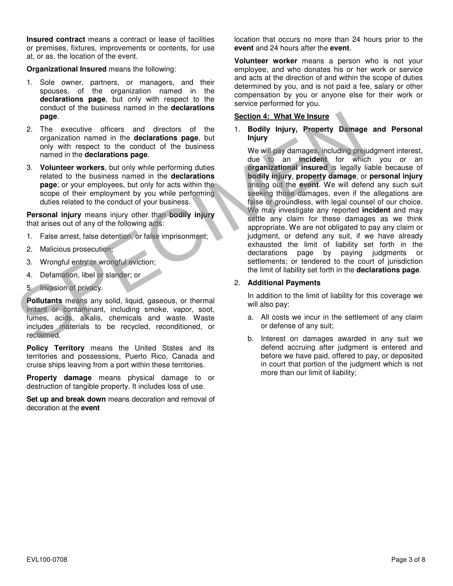Insured contract means a contract or lease of facilities or premises, fixtures, improvements or contents, for use at, or as, the location of the event.

Organizational Insured means the following:

- 1. Sole owner, partners, or managers, and their spouses, of the organization named in the declarations page, but only with respect to the conduct of the business named in the declarations page.
- 2. The executive officers and directors of the organization named in the declarations page, but only with respect to the conduct of the business named in the declarations page.
- 3. Volunteer workers, but only while performing duties related to the business named in the declarations page; or your employees, but only for acts within the scope of their employment by you while performing duties related to the conduct of your business.

Personal injury means injury other than bodily injury that arises out of any of the following acts:

- 1. False arrest, false detention, or false imprisonment;
- 2. Malicious prosecution;
- 3. Wrongful entry or wrongful eviction;
- 4. Defamation, libel or slander; or
- 5. Invasion of privacy.

Pollutants means any solid, liquid, gaseous, or thermal irritant or contaminant, including smoke, vapor, soot, fumes, acids, alkalis, chemicals and waste. Waste includes materials to be recycled, reconditioned, or reclaimed.

Policy Territory means the United States and its territories and possessions, Puerto Rico, Canada and cruise ships leaving from a port within these territories.

Property damage means physical damage to or destruction of tangible property. It includes loss of use.

Set up and break down means decoration and removal of decoration at the event

 location that occurs no more than 24 hours prior to the event and 24 hours after the event.

Volunteer worker means a person who is not your employee, and who donates his or her work or service and acts at the direction of and within the scope of duties determined by you, and is not paid a fee, salary or other compensation by you or anyone else for their work or service performed for you.

#### Section 4: What We Insure

#### 1. Bodily Injury, Property Damage and Personal Injury

We will pay damages, including prejudgment interest, due to an incident for which you or an organizational insured is legally liable because of bodily injury, property damage, or personal injury arising out the event. We will defend any such suit seeking those damages, even if the allegations are false or groundless, with legal counsel of our choice. We may investigate any reported **incident** and may settle any claim for these damages as we think appropriate. We are not obligated to pay any claim or judgment, or defend any suit, if we have already exhausted the limit of liability set forth in the declarations page by paying judgments or settlements; or tendered to the court of jurisdiction the limit of liability set forth in the **declarations page**. Section 4: What We Insure<br>
2. The executive offices and directors of the business<br>
organization named in the declarations page, but<br>
only with respect to the conduct of the business<br>
organizations page.<br>
S. Volumber worker

#### 2. Additional Payments

In addition to the limit of liability for this coverage we will also pay:

- a. All costs we incur in the settlement of any claim or defense of any suit;
- b. Interest on damages awarded in any suit we defend accruing after judgment is entered and before we have paid, offered to pay, or deposited in court that portion of the judgment which is not more than our limit of liability;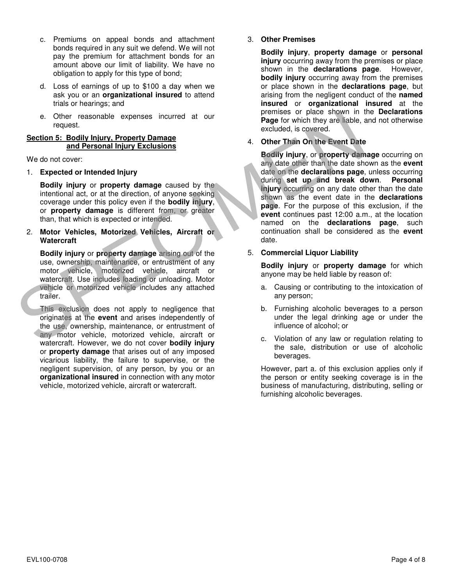- c. Premiums on appeal bonds and attachment bonds required in any suit we defend. We will not pay the premium for attachment bonds for an amount above our limit of liability. We have no obligation to apply for this type of bond;
- d. Loss of earnings of up to \$100 a day when we ask you or an **organizational insured** to attend trials or hearings; and
- e. Other reasonable expenses incurred at our request.

#### Section 5: Bodily Injury, Property Damage and Personal Injury Exclusions

We do not cover:

1. Expected or Intended Injury

Bodily injury or property damage caused by the intentional act, or at the direction, of anyone seeking coverage under this policy even if the bodily injury, or property damage is different from, or greater than, that which is expected or intended.

2. Motor Vehicles, Motorized Vehicles, Aircraft or **Watercraft** 

Bodily injury or property damage arising out of the use, ownership, maintenance, or entrustment of any motor vehicle, motorized vehicle, aircraft or watercraft. Use includes loading or unloading. Motor vehicle or motorized vehicle includes any attached trailer.

This exclusion does not apply to negligence that originates at the event and arises independently of the use, ownership, maintenance, or entrustment of any motor vehicle, motorized vehicle, aircraft or watercraft. However, we do not cover bodily injury or **property damage** that arises out of any imposed vicarious liability, the failure to supervise, or the negligent supervision, of any person, by you or an organizational insured in connection with any motor vehicle, motorized vehicle, aircraft or watercraft.

#### 3. Other Premises

Bodily injury, property damage or personal injury occurring away from the premises or place shown in the declarations page. However, bodily injury occurring away from the premises or place shown in the declarations page, but arising from the negligent conduct of the named insured or organizational insured at the premises or place shown in the Declarations Page for which they are liable, and not otherwise excluded, is covered.

#### 4. Other Than On the Event Date

Bodily injury, or property damage occurring on any date other than the date shown as the event date on the declarations page, unless occurring during set up and break down. Personal injury occurring on any date other than the date shown as the event date in the **declarations** page. For the purpose of this exclusion, if the event continues past 12:00 a.m., at the location named on the declarations page, such continuation shall be considered as the event date. e. Other reasonable expenses incurred at our<br>
section 5: Bodily injury. Property Damage<br>
Section 5: Bodily injury. Property Damage<br>
We do not cover:<br>
Section the attention and Personal Injury Exclusions<br>
We do not cover:<br>

5. Commercial Liquor Liability

Bodily injury or property damage for which anyone may be held liable by reason of:

- a. Causing or contributing to the intoxication of any person;
- b. Furnishing alcoholic beverages to a person under the legal drinking age or under the influence of alcohol; or
- c. Violation of any law or regulation relating to the sale, distribution or use of alcoholic beverages.

However, part a. of this exclusion applies only if the person or entity seeking coverage is in the business of manufacturing, distributing, selling or furnishing alcoholic beverages.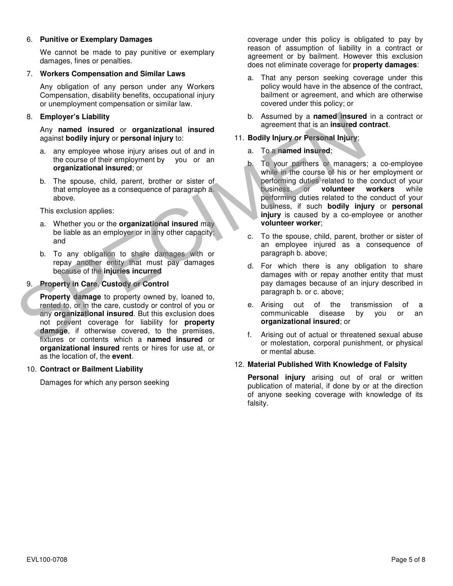#### 6. Punitive or Exemplary Damages

We cannot be made to pay punitive or exemplary damages, fines or penalties.

#### 7. Workers Compensation and Similar Laws

Any obligation of any person under any Workers Compensation, disability benefits, occupational injury or unemployment compensation or similar law.

#### 8. Employer's Liability

Any named insured or organizational insured against bodily injury or personal injury to:

- a. any employee whose injury arises out of and in the course of their employment by you or an organizational insured; or
- b. The spouse, child, parent, brother or sister of that employee as a consequence of paragraph a. above.

This exclusion applies:

- a. Whether you or the organizational insured may be liable as an employer or in any other capacity; and
- b. To any obligation to share damages with or repay another entity that must pay damages because of the injuries incurred

#### 9. Property in Care, Custody or Control

Property damage to property owned by, loaned to, rented to, or in the care, custody or control of you or any organizational insured. But this exclusion does not prevent coverage for liability for **property** damage, if otherwise covered, to the premises, fixtures or contents which a named insured or organizational insured rents or hires for use at, or as the location of, the event. Examed the diality of the manned insured<br>
Any named insured against bodily injury or personal injury or<br>
a. any employee whose injury arises out of and in<br>
the course of their employee infusion in the course of the course

#### 10. Contract or Bailment Liability

Damages for which any person seeking

 coverage under this policy is obligated to pay by reason of assumption of liability in a contract or agreement or by bailment. However this exclusion does not eliminate coverage for **property damages**:

- a. That any person seeking coverage under this policy would have in the absence of the contract, bailment or agreement, and which are otherwise covered under this policy; or
- b. Assumed by a named insured in a contract or agreement that is an insured contract.

#### 11. Bodily Injury or Personal Injury;

- a. To a named insured;
- b. To your partners or managers; a co-employee while in the course of his or her employment or performing duties related to the conduct of your business, or volunteer workers while performing duties related to the conduct of your business, if such bodily injury or personal injury is caused by a co-employee or another volunteer worker;
- c. To the spouse, child, parent, brother or sister of an employee injured as a consequence of paragraph b. above;
- d. For which there is any obligation to share damages with or repay another entity that must pay damages because of an injury described in paragraph b. or c. above;
- e. Arising out of the transmission of a communicable disease by you or an organizational insured; or
- f. Arising out of actual or threatened sexual abuse or molestation, corporal punishment, or physical or mental abuse.

#### 12. Material Published With Knowledge of Falsity

Personal injury arising out of oral or written publication of material, if done by or at the direction of anyone seeking coverage with knowledge of its falsity.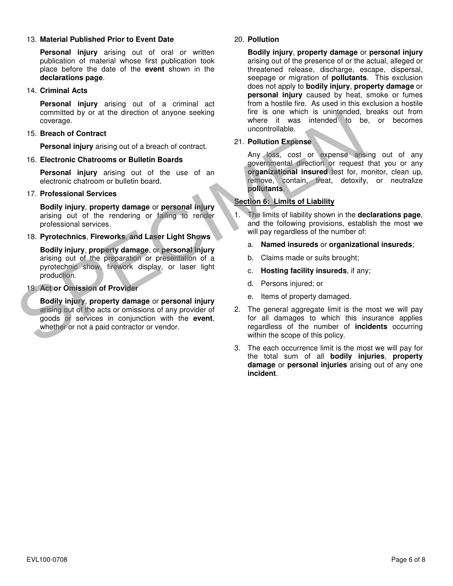#### 13. Material Published Prior to Event Date

Personal injury arising out of oral or written publication of material whose first publication took place before the date of the event shown in the declarations page.

#### 14. Criminal Acts

Personal injury arising out of a criminal act committed by or at the direction of anyone seeking coverage.

#### 15. Breach of Contract

Personal injury arising out of a breach of contract.

#### 16. Electronic Chatrooms or Bulletin Boards

Personal injury arising out of the use of an electronic chatroom or bulletin board.

#### 17. Professional Services

Bodily injury, property damage or personal injury arising out of the rendering or failing to render professional services.

#### 18. Pyrotechnics, Fireworks, and Laser Light Shows

Bodily injury, property damage, or personal injury arising out of the preparation or presentation of a pyrotechnic show, firework display, or laser light production.

#### 19. Act or Omission of Provider

Bodily injury, property damage or personal injury arising out of the acts or omissions of any provider of goods or services in conjunction with the event, whether or not a paid contractor or vendor. coverage.<br>
Somethed by or at the direction of anyone seeking<br>
The is one where it was intended to be<br>
SPECIMENT PERSONAL TO a brach of contract<br>
Personal injury arising out of a breach of contract<br>
Personal injury arising

#### 20. Pollution

Bodily injury, property damage or personal injury arising out of the presence of or the actual, alleged or threatened release, discharge, escape, dispersal, seepage or migration of **pollutants**. This exclusion does not apply to bodily injury, property damage or personal injury caused by heat, smoke or fumes from a hostile fire. As used in this exclusion a hostile fire is one which is unintended, breaks out from where it was intended to be, or becomes uncontrollable.

#### 21. Pollution Expense

Any loss, cost or expense arising out of any governmental direction or request that you or any organizational insured test for, monitor, clean up, remove, contain, treat, detoxify, or neutralize pollutants.

#### Section 6: Limits of Liability

- The limits of liability shown in the declarations page, and the following provisions, establish the most we will pay regardless of the number of:
	- a. Named insureds or organizational insureds;
	- b. Claims made or suits brought;
	- c. Hosting facility insureds, if any;
	- d. Persons injured; or
	- e. Items of property damaged.
- 2. The general aggregate limit is the most we will pay for all damages to which this insurance applies regardless of the number of **incidents** occurring within the scope of this policy.
- 3. The each occurrence limit is the most we will pay for the total sum of all **bodily injuries**, property damage or **personal injuries** arising out of any one incident.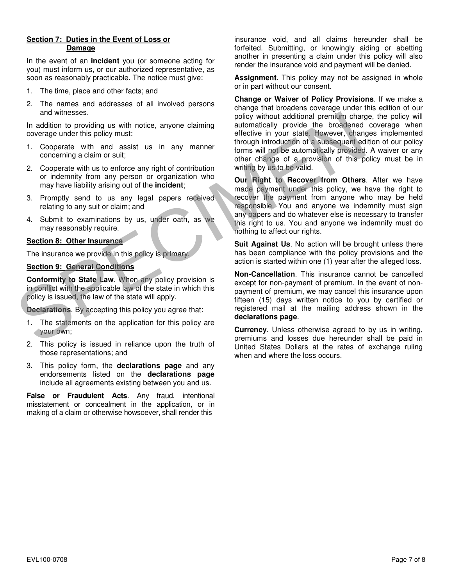#### Section 7: Duties in the Event of Loss or Damage

In the event of an incident you (or someone acting for you) must inform us, or our authorized representative, as soon as reasonably practicable. The notice must give:

- 1. The time, place and other facts; and
- 2. The names and addresses of all involved persons and witnesses.

In addition to providing us with notice, anyone claiming coverage under this policy must:

- 1. Cooperate with and assist us in any manner concerning a claim or suit;
- 2. Cooperate with us to enforce any right of contribution or indemnity from any person or organization who may have liability arising out of the **incident**;
- 3. Promptly send to us any legal papers received relating to any suit or claim; and
- 4. Submit to examinations by us, under oath, as we may reasonably require.

#### Section 8: Other Insurance

The insurance we provide in this policy is primary.

#### Section 9: General Conditions

Conformity to State Law. When any policy provision is in conflict with the applicable law of the state in which this policy is issued, the law of the state will apply.

Declarations. By accepting this policy you agree that:

- 1. The statements on the application for this policy are your own;
- 2. This policy is issued in reliance upon the truth of those representations; and
- 3. This policy form, the declarations page and any endorsements listed on the declarations page include all agreements existing between you and us.

False or Fraudulent Acts. Any fraud, intentional misstatement or concealment in the application, or in making of a claim or otherwise howsoever, shall render this

 insurance void, and all claims hereunder shall be forfeited. Submitting, or knowingly aiding or abetting another in presenting a claim under this policy will also render the insurance void and payment will be denied.

**Assignment**. This policy may not be assigned in whole or in part without our consent.

Change or Waiver of Policy Provisions. If we make a change that broadens coverage under this edition of our policy without additional premium charge, the policy will automatically provide the broadened coverage when effective in your state. However, changes implemented through introduction of a subsequent edition of our policy forms will not be automatically provided. A waiver or any other change of a provision of this policy must be in writing by us to be valid. and witnesses.<br>
In additional premium charge, the coverage under this policy must:<br>
and converage under this policy must:<br>
Soverage under this policy must:<br>
Soverage under this policy must:<br>
Soverage under this policy must

Our Right to Recover from Others. After we have made payment under this policy, we have the right to recover the payment from anyone who may be held responsible. You and anyone we indemnify must sign any papers and do whatever else is necessary to transfer this right to us. You and anyone we indemnify must do nothing to affect our rights.

Suit Against Us. No action will be brought unless there has been compliance with the policy provisions and the action is started within one (1) year after the alleged loss.

Non-Cancellation. This insurance cannot be cancelled except for non-payment of premium. In the event of nonpayment of premium, we may cancel this insurance upon fifteen (15) days written notice to you by certified or registered mail at the mailing address shown in the declarations page.

Currency. Unless otherwise agreed to by us in writing, premiums and losses due hereunder shall be paid in United States Dollars at the rates of exchange ruling when and where the loss occurs.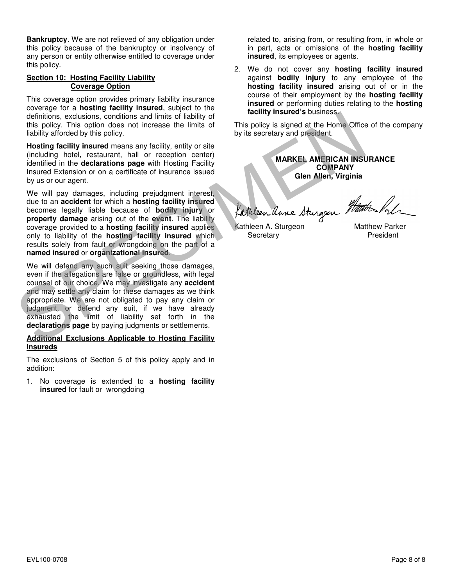Bankruptcy. We are not relieved of any obligation under this policy because of the bankruptcy or insolvency of any person or entity otherwise entitled to coverage under this policy.

#### Section 10: Hosting Facility Liability Coverage Option

This coverage option provides primary liability insurance coverage for a hosting facility insured, subject to the definitions, exclusions, conditions and limits of liability of this policy. This option does not increase the limits of liability afforded by this policy.

Hosting facility insured means any facility, entity or site (including hotel, restaurant, hall or reception center) identified in the declarations page with Hosting Facility Insured Extension or on a certificate of insurance issued by us or our agent.

We will pay damages, including prejudgment interest, due to an accident for which a hosting facility insured becomes legally liable because of bodily injury or property damage arising out of the event. The liability coverage provided to a hosting facility insured applies only to liability of the **hosting facility insured** which results solely from fault or wrongdoing on the part of a named insured or organizational insured.

We will defend any such suit seeking those damages, even if the allegations are false or groundless, with legal counsel of our choice. We may investigate any accident and may settle any claim for these damages as we think appropriate. We are not obligated to pay any claim or judgment, or defend any suit, if we have already exhausted the limit of liability set forth in the declarations page by paying judgments or settlements. definitions, occusions, conditions and limits of liability of<br>
this policy. This option does not increase the limits of liability is secretary and president.<br>
Hosting factility afforded by this policy.<br>
Hosting factility i

#### Additional Exclusions Applicable to Hosting Facility **Insureds**

The exclusions of Section 5 of this policy apply and in addition:

1. No coverage is extended to a hosting facility insured for fault or wrongdoing

 related to, arising from, or resulting from, in whole or in part, acts or omissions of the hosting facility insured, its employees or agents.

2. We do not cover any hosting facility insured against **bodily injury** to any employee of the hosting facility insured arising out of or in the course of their employment by the hosting facility insured or performing duties relating to the hosting facility insured's business.

This policy is signed at the Home Office of the company by its secretary and president.

> MARKEL AMERICAN INSURANCE **COMPANY** Glen Allen, Virginia

Kathleen Anne Sturgeon Watter Pale